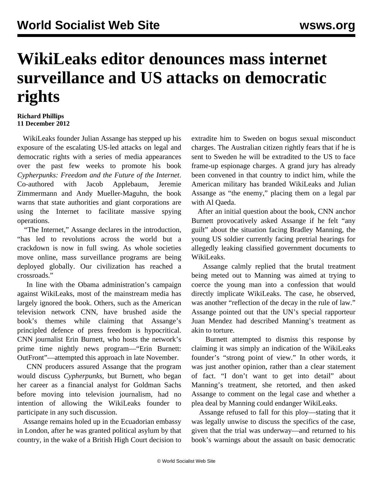## **WikiLeaks editor denounces mass internet surveillance and US attacks on democratic rights**

## **Richard Phillips 11 December 2012**

 WikiLeaks founder Julian Assange has stepped up his exposure of the escalating US-led attacks on legal and democratic rights with a series of media appearances over the past few weeks to promote his book *Cypherpunks: Freedom and the Future of the Internet*. Co-authored with Jacob Applebaum, Jeremie Zimmermann and Andy Mueller-Maguhn, the book warns that state authorities and giant corporations are using the Internet to facilitate massive spying operations.

 "The Internet," Assange declares in the introduction, "has led to revolutions across the world but a crackdown is now in full swing. As whole societies move online, mass surveillance programs are being deployed globally. Our civilization has reached a crossroads."

 In line with the Obama administration's campaign against WikiLeaks, most of the mainstream media has largely ignored the book. Others, such as the American television network CNN, have brushed aside the book's themes while claiming that Assange's principled defence of press freedom is hypocritical. CNN journalist Erin Burnett, who hosts the network's prime time nightly news program—"Erin Burnett: OutFront"—attempted this approach in late November.

 CNN producers assured Assange that the program would discuss *Cypherpunks*, but Burnett, who began her career as a financial analyst for Goldman Sachs before moving into television journalism, had no intention of allowing the WikiLeaks founder to participate in any such discussion.

 Assange remains holed up in the Ecuadorian embassy in London, after he was granted political asylum by that country, in the wake of a British High Court decision to extradite him to Sweden on bogus sexual misconduct charges. The Australian citizen rightly fears that if he is sent to Sweden he will be extradited to the US to face frame-up espionage charges. A grand jury has already been convened in that country to indict him, while the American military has branded WikiLeaks and Julian Assange as "the enemy," placing them on a legal par with Al Qaeda.

 After an initial question about the book, CNN anchor Burnett provocatively asked Assange if he felt "any guilt" about the situation facing Bradley Manning, the young US soldier currently facing [pretrial hearings](mann-d01.shtml) for allegedly leaking classified government documents to WikiLeaks.

 Assange calmly replied that the brutal treatment being meted out to Manning was aimed at trying to coerce the young man into a confession that would directly implicate WikiLeaks. The case, he observed, was another "reflection of the decay in the rule of law." Assange pointed out that the UN's special rapporteur Juan Mendez had described Manning's treatment as akin to torture.

 Burnett attempted to dismiss this response by claiming it was simply an indication of the WikiLeaks founder's "strong point of view." In other words, it was just another opinion, rather than a clear statement of fact. "I don't want to get into detail" about Manning's treatment, she retorted, and then asked Assange to comment on the legal case and whether a plea deal by Manning could endanger WikiLeaks.

 Assange refused to fall for this ploy—stating that it was legally unwise to discuss the specifics of the case, given that the trial was underway—and returned to his book's warnings about the assault on basic democratic